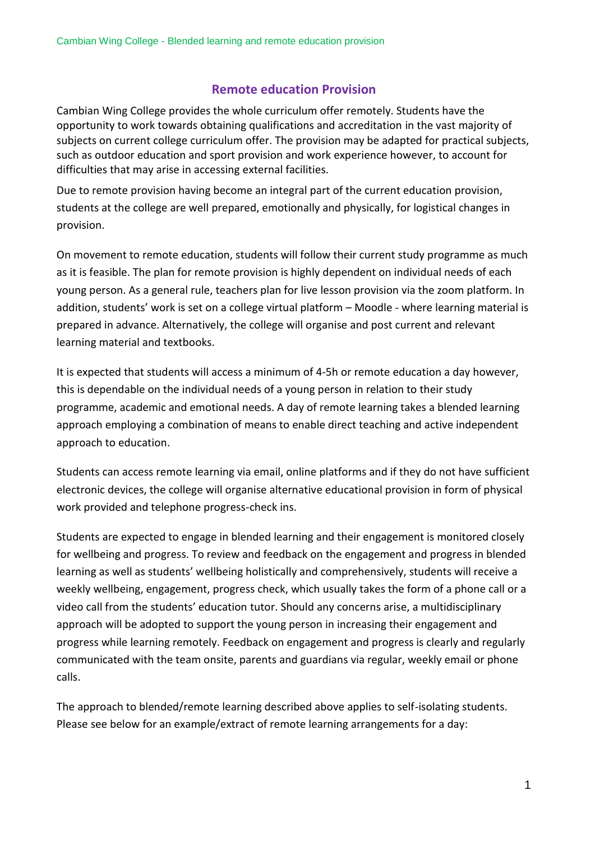## **Remote education Provision**

Cambian Wing College provides the whole curriculum offer remotely. Students have the opportunity to work towards obtaining qualifications and accreditation in the vast majority of subjects on current college curriculum offer. The provision may be adapted for practical subjects, such as outdoor education and sport provision and work experience however, to account for difficulties that may arise in accessing external facilities.

Due to remote provision having become an integral part of the current education provision, students at the college are well prepared, emotionally and physically, for logistical changes in provision.

On movement to remote education, students will follow their current study programme as much as it is feasible. The plan for remote provision is highly dependent on individual needs of each young person. As a general rule, teachers plan for live lesson provision via the zoom platform. In addition, students' work is set on a college virtual platform – Moodle - where learning material is prepared in advance. Alternatively, the college will organise and post current and relevant learning material and textbooks.

It is expected that students will access a minimum of 4-5h or remote education a day however, this is dependable on the individual needs of a young person in relation to their study programme, academic and emotional needs. A day of remote learning takes a blended learning approach employing a combination of means to enable direct teaching and active independent approach to education.

Students can access remote learning via email, online platforms and if they do not have sufficient electronic devices, the college will organise alternative educational provision in form of physical work provided and telephone progress-check ins.

Students are expected to engage in blended learning and their engagement is monitored closely for wellbeing and progress. To review and feedback on the engagement and progress in blended learning as well as students' wellbeing holistically and comprehensively, students will receive a weekly wellbeing, engagement, progress check, which usually takes the form of a phone call or a video call from the students' education tutor. Should any concerns arise, a multidisciplinary approach will be adopted to support the young person in increasing their engagement and progress while learning remotely. Feedback on engagement and progress is clearly and regularly communicated with the team onsite, parents and guardians via regular, weekly email or phone calls.

The approach to blended/remote learning described above applies to self-isolating students. Please see below for an example/extract of remote learning arrangements for a day: